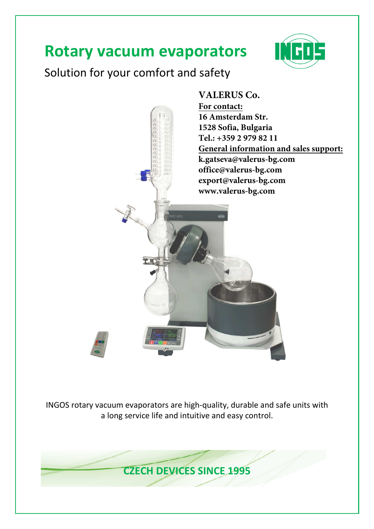# **Rotary vacuum evaporators**



# Solution for your comfort and safety



INGOS rotary vacuum evaporators are high-quality, durable and safe units with a long service life and intuitive and easy control.

**CZECH DEVICES SINCE 1995**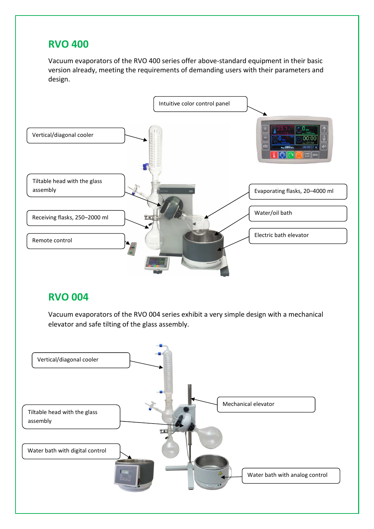## **RVO 400**

Vacuum evaporators of the RVO 400 series offer above-standard equipment in their basic version already, meeting the requirements of demanding users with their parameters and design.



## **RVO 004**

Vacuum evaporators of the RVO 004 series exhibit a very simple design with a mechanical elevator and safe tilting of the glass assembly.

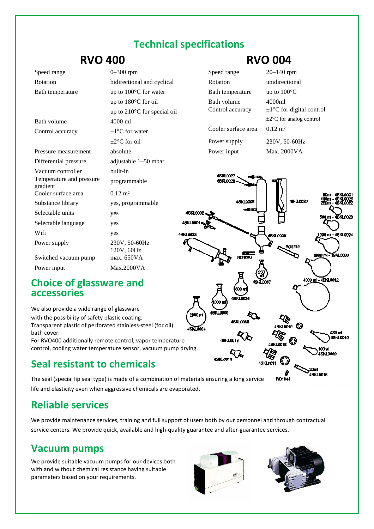## **Technical specifications**

## **RVO 400**

Bath temperature up to 100<sup>o</sup>C for water

Bath volume 4000 ml

Pressure measurement absolute

Cooler surface area  $0.12 \text{ m}^2$ 

Selectable units yes Selectable language yes Wifi yes

Substance library yes, programmable

Differential pressure Vacuum controller

gradient

Power supply

Temperature and pressure

Control accuracy  $\pm 1^{\circ}$ C for water

up to 180°C for oil

 $\pm 2^{\circ}$ C for oil

built-in

programmable

120V, 60Hz

230V, 50-60Hz

up to 210°C for special oil 

adjustable 1 1–50 mbar

| <b>RVO 400</b> |                            |  |  |
|----------------|----------------------------|--|--|
| Speed range    | $0 - 300$ rpm              |  |  |
| Rotation       | bidirectional and cyclical |  |  |

#### **RVO 004**

|                            | Speed range                     | $20 - 140$ rpm                                       |
|----------------------------|---------------------------------|------------------------------------------------------|
| l and cyclical             | Rotation                        | unidirectional                                       |
| for water                  | Bath temperature                | up to $100^{\circ}$ C                                |
| for oil<br>for special oil | Bath volume<br>Control accuracy | 4000ml<br>$\pm 1$ <sup>o</sup> C for digital control |
|                            |                                 | $\pm 2^{\circ}$ C for analog control                 |
| ter                        | Cooler surface area             | $0.12 \text{ m}^2$                                   |
|                            | Power supply                    | 230V, 50-60Hz                                        |
|                            | Power input                     | Max. 2000VA                                          |



#### **Choice of glassware and accessories**

Switched vacuum pump max. 650VA Power input Max.2000VA

We also provide a wide range of glassware with the possibility of safety plastic coating. Transparent plastic of perforated stainless-steel (for oil) bath cover.

For RVO400 additionally remote control, vapor temperature control, cooling water temperature sensor, vacuum pump drying.

# **Seal resistant to chemicals**

The seal (special lip seal type) is made of a combination of materials ensuring a long service life and elasticity even when aggressive chemicals are evaporated.

## **Reliable services**

We provide maintenance services, training and full support of users both by our personnel and through contractual service centers. We provide quick, available and high-quality guarantee and after-guarantee services.

## **Vacuum pumps**

We provide suitable vacuum pumps for our devices both with and without chemical resistance having suitable parameters based on your requirements.